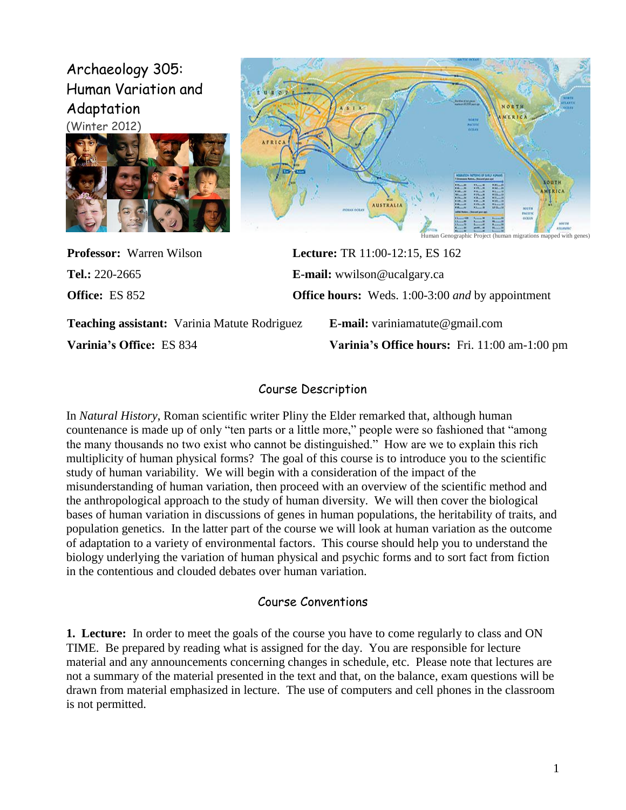# Archaeology 305: Human Variation and Adaptation





**Professor:** Warren Wilson **Lecture:** TR 11:00-12:15, ES 162 **Tel.:** 220-2665 **E-mail:** wwilson@ucalgary.ca **Office:** ES 852 **Office hours:** Weds. 1:00-3:00 *and* by appointment

**Teaching assistant:** Varinia Matute Rodriguez **E-mail:** variniamatute@gmail.com

**Varinia's Office:** ES 834 **Varinia's Office hours:** Fri. 11:00 am-1:00 pm

## Course Description

In *Natural History*, Roman scientific writer Pliny the Elder remarked that, although human countenance is made up of only "ten parts or a little more," people were so fashioned that "among the many thousands no two exist who cannot be distinguished." How are we to explain this rich multiplicity of human physical forms? The goal of this course is to introduce you to the scientific study of human variability. We will begin with a consideration of the impact of the misunderstanding of human variation, then proceed with an overview of the scientific method and the anthropological approach to the study of human diversity. We will then cover the biological bases of human variation in discussions of genes in human populations, the heritability of traits, and population genetics. In the latter part of the course we will look at human variation as the outcome of adaptation to a variety of environmental factors. This course should help you to understand the biology underlying the variation of human physical and psychic forms and to sort fact from fiction in the contentious and clouded debates over human variation.

# Course Conventions

**1. Lecture:**In order to meet the goals of the course you have to come regularly to class and ON TIME. Be prepared by reading what is assigned for the day. You are responsible for lecture material and any announcements concerning changes in schedule, etc. Please note that lectures are not a summary of the material presented in the text and that, on the balance, exam questions will be drawn from material emphasized in lecture. The use of computers and cell phones in the classroom is not permitted.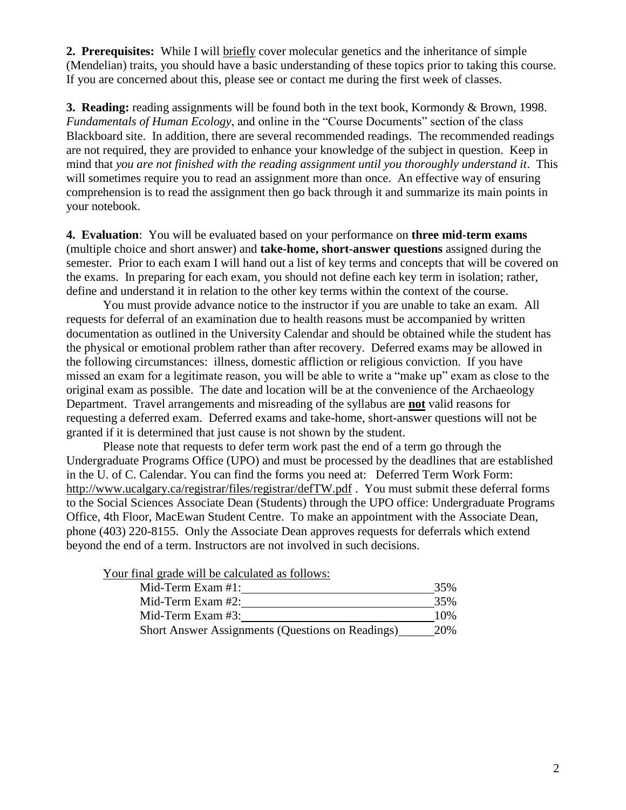**2. Prerequisites:** While I will briefly cover molecular genetics and the inheritance of simple (Mendelian) traits, you should have a basic understanding of these topics prior to taking this course. If you are concerned about this, please see or contact me during the first week of classes.

**3. Reading:** reading assignments will be found both in the text book, Kormondy & Brown, 1998. *Fundamentals of Human Ecology*, and online in the "Course Documents" section of the class Blackboard site. In addition, there are several recommended readings. The recommended readings are not required, they are provided to enhance your knowledge of the subject in question. Keep in mind that *you are not finished with the reading assignment until you thoroughly understand it*. This will sometimes require you to read an assignment more than once. An effective way of ensuring comprehension is to read the assignment then go back through it and summarize its main points in your notebook.

**4. Evaluation**: You will be evaluated based on your performance on **three mid-term exams** (multiple choice and short answer) and **take-home, short-answer questions** assigned during the semester. Prior to each exam I will hand out a list of key terms and concepts that will be covered on the exams. In preparing for each exam, you should not define each key term in isolation; rather, define and understand it in relation to the other key terms within the context of the course.

You must provide advance notice to the instructor if you are unable to take an exam. All requests for deferral of an examination due to health reasons must be accompanied by written documentation as outlined in the University Calendar and should be obtained while the student has the physical or emotional problem rather than after recovery. Deferred exams may be allowed in the following circumstances: illness, domestic affliction or religious conviction. If you have missed an exam for a legitimate reason, you will be able to write a "make up" exam as close to the original exam as possible. The date and location will be at the convenience of the Archaeology Department. Travel arrangements and misreading of the syllabus are **not** valid reasons for requesting a deferred exam. Deferred exams and take-home, short-answer questions will not be granted if it is determined that just cause is not shown by the student.

Please note that requests to defer term work past the end of a term go through the Undergraduate Programs Office (UPO) and must be processed by the deadlines that are established in the U. of C. Calendar. You can find the forms you need at: Deferred Term Work Form: http://www.ucalgary.ca/registrar/files/registrar/defTW.pdf . You must submit these deferral forms to the Social Sciences Associate Dean (Students) through the UPO office: Undergraduate Programs Office, 4th Floor, MacEwan Student Centre. To make an appointment with the Associate Dean, phone (403) 220-8155. Only the Associate Dean approves requests for deferrals which extend beyond the end of a term. Instructors are not involved in such decisions.

Your final grade will be calculated as follows:

| Mid-Term Exam #1:                                       | 35% |
|---------------------------------------------------------|-----|
| Mid-Term Exam $#2$ :                                    | 35% |
| Mid-Term Exam $#3$ :                                    | 10% |
| <b>Short Answer Assignments (Questions on Readings)</b> | 20% |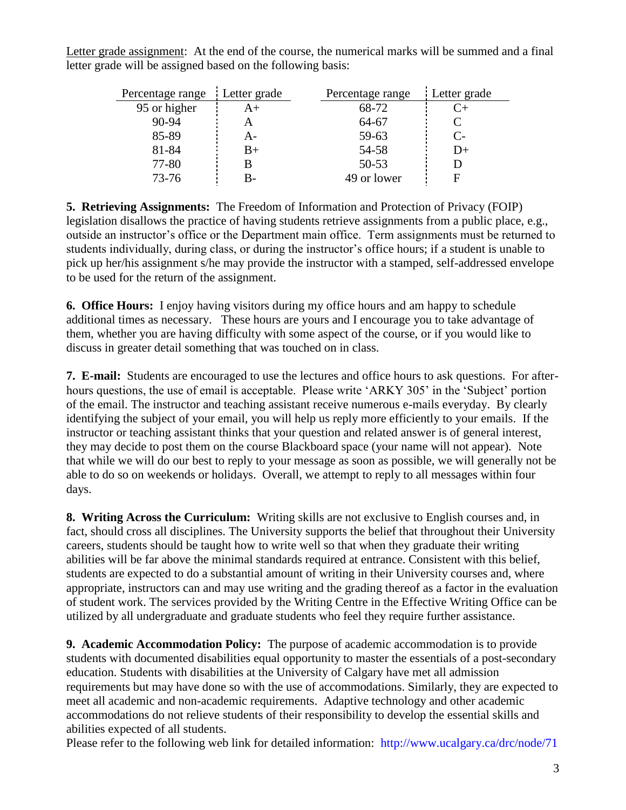Letter grade assignment: At the end of the course, the numerical marks will be summed and a final letter grade will be assigned based on the following basis:

| Percentage range | Letter grade<br>Percentage range |             | Letter grade         |
|------------------|----------------------------------|-------------|----------------------|
| 95 or higher     | A+                               | 68-72       | ( `+                 |
| $90 - 94$        |                                  | 64-67       |                      |
| 85-89            | A-                               | 59-63       | $\mathsf{C}\text{-}$ |
| 81-84            | B+                               | 54-58       | $D+$                 |
| 77-80            |                                  | $50 - 53$   |                      |
| $73 - 76$        |                                  | 49 or lower |                      |

**5. Retrieving Assignments:** The Freedom of Information and Protection of Privacy (FOIP) legislation disallows the practice of having students retrieve assignments from a public place, e.g., outside an instructor"s office or the Department main office. Term assignments must be returned to students individually, during class, or during the instructor's office hours; if a student is unable to pick up her/his assignment s/he may provide the instructor with a stamped, self-addressed envelope to be used for the return of the assignment.

**6. Office Hours:**I enjoy having visitors during my office hours and am happy to schedule additional times as necessary. These hours are yours and I encourage you to take advantage of them, whether you are having difficulty with some aspect of the course, or if you would like to discuss in greater detail something that was touched on in class.

**7. E-mail:** Students are encouraged to use the lectures and office hours to ask questions. For afterhours questions, the use of email is acceptable. Please write 'ARKY 305' in the 'Subject' portion of the email. The instructor and teaching assistant receive numerous e-mails everyday. By clearly identifying the subject of your email, you will help us reply more efficiently to your emails. If the instructor or teaching assistant thinks that your question and related answer is of general interest, they may decide to post them on the course Blackboard space (your name will not appear). Note that while we will do our best to reply to your message as soon as possible, we will generally not be able to do so on weekends or holidays. Overall, we attempt to reply to all messages within four days.

**8. Writing Across the Curriculum:** Writing skills are not exclusive to English courses and, in fact, should cross all disciplines. The University supports the belief that throughout their University careers, students should be taught how to write well so that when they graduate their writing abilities will be far above the minimal standards required at entrance. Consistent with this belief, students are expected to do a substantial amount of writing in their University courses and, where appropriate, instructors can and may use writing and the grading thereof as a factor in the evaluation of student work. The services provided by the Writing Centre in the Effective Writing Office can be utilized by all undergraduate and graduate students who feel they require further assistance.

**9. Academic Accommodation Policy:** The purpose of academic accommodation is to provide students with documented disabilities equal opportunity to master the essentials of a post-secondary education. Students with disabilities at the University of Calgary have met all admission requirements but may have done so with the use of accommodations. Similarly, they are expected to meet all academic and non-academic requirements. Adaptive technology and other academic accommodations do not relieve students of their responsibility to develop the essential skills and abilities expected of all students.

Please refer to the following web link for detailed information: <http://www.ucalgary.ca/drc/node/71>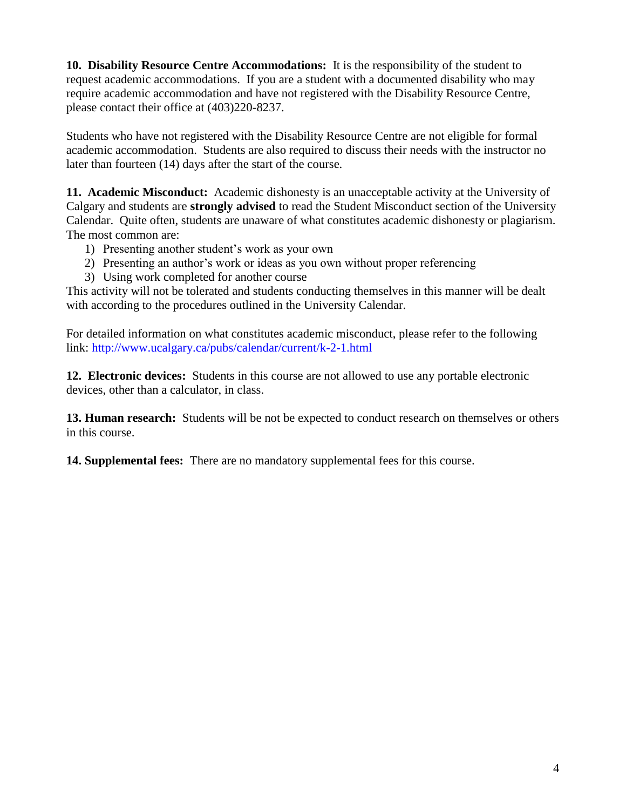**10. Disability Resource Centre Accommodations:** It is the responsibility of the student to request academic accommodations. If you are a student with a documented disability who may require academic accommodation and have not registered with the Disability Resource Centre, please contact their office at (403)220-8237.

Students who have not registered with the Disability Resource Centre are not eligible for formal academic accommodation. Students are also required to discuss their needs with the instructor no later than fourteen (14) days after the start of the course.

**11. Academic Misconduct:** Academic dishonesty is an unacceptable activity at the University of Calgary and students are **strongly advised** to read the Student Misconduct section of the University Calendar. Quite often, students are unaware of what constitutes academic dishonesty or plagiarism. The most common are:

- 1) Presenting another student"s work as your own
- 2) Presenting an author"s work or ideas as you own without proper referencing
- 3) Using work completed for another course

This activity will not be tolerated and students conducting themselves in this manner will be dealt with according to the procedures outlined in the University Calendar.

For detailed information on what constitutes academic misconduct, please refer to the following link: <http://www.ucalgary.ca/pubs/calendar/current/k-2-1.html>

**12. Electronic devices:** Students in this course are not allowed to use any portable electronic devices, other than a calculator, in class.

**13. Human research:** Students will be not be expected to conduct research on themselves or others in this course.

**14. Supplemental fees:** There are no mandatory supplemental fees for this course.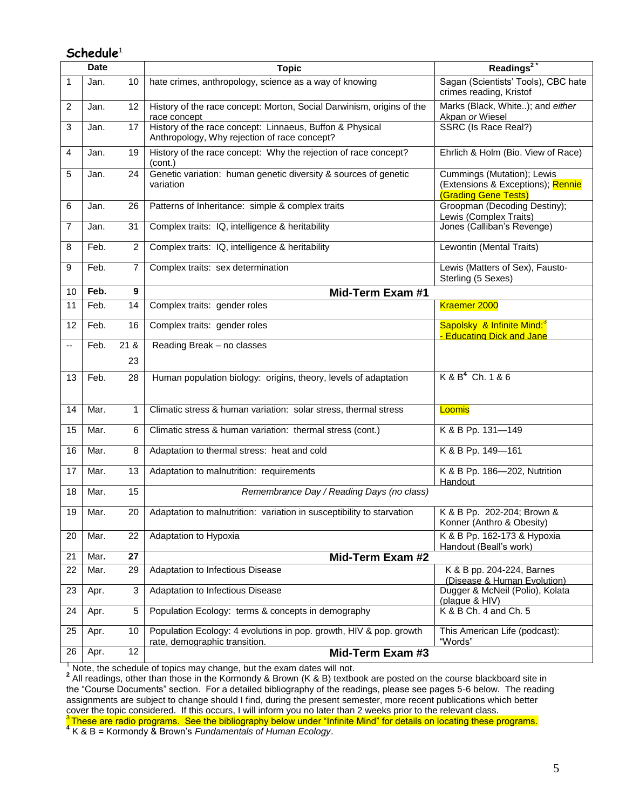## **Schedule**<sup>1</sup>

| <b>Date</b> |      |                | <b>Topic</b>                                                                                             | Readings <sup>2</sup>                                                                   |  |
|-------------|------|----------------|----------------------------------------------------------------------------------------------------------|-----------------------------------------------------------------------------------------|--|
| 1           | Jan. | 10             | hate crimes, anthropology, science as a way of knowing                                                   | Sagan (Scientists' Tools), CBC hate<br>crimes reading, Kristof                          |  |
| 2           | Jan. | 12             | History of the race concept: Morton, Social Darwinism, origins of the<br>race concept                    | Marks (Black, White); and either<br>Akpan or Wiesel                                     |  |
| 3           | Jan. | 17             | History of the race concept: Linnaeus, Buffon & Physical<br>Anthropology, Why rejection of race concept? | SSRC (Is Race Real?)                                                                    |  |
| 4           | Jan. | 19             | History of the race concept: Why the rejection of race concept?<br>(cont.)                               | Ehrlich & Holm (Bio. View of Race)                                                      |  |
| 5           | Jan. | 24             | Genetic variation: human genetic diversity & sources of genetic<br>variation                             | Cummings (Mutation); Lewis<br>(Extensions & Exceptions); Rennie<br>(Grading Gene Tests) |  |
| 6           | Jan. | 26             | Patterns of Inheritance: simple & complex traits                                                         | Groopman (Decoding Destiny);<br>Lewis (Complex Traits)                                  |  |
| 7           | Jan. | 31             | Complex traits: IQ, intelligence & heritability                                                          | Jones (Calliban's Revenge)                                                              |  |
| 8           | Feb. | $\overline{2}$ | Complex traits: IQ, intelligence & heritability                                                          | Lewontin (Mental Traits)                                                                |  |
| 9           | Feb. | 7              | Complex traits: sex determination                                                                        | Lewis (Matters of Sex), Fausto-<br>Sterling (5 Sexes)                                   |  |
| 10          | Feb. | 9              | Mid-Term Exam #1                                                                                         |                                                                                         |  |
| 11          | Feb. | 14             | Complex traits: gender roles                                                                             | Kraemer 2000                                                                            |  |
| 12          | Feb. | 16             | Complex traits: gender roles                                                                             | Sapolsky & Infinite Mind: <sup>3</sup><br>- Educating Dick and Jane                     |  |
| --          | Feb. | 21 &           | Reading Break - no classes                                                                               |                                                                                         |  |
|             |      | 23             |                                                                                                          |                                                                                         |  |
| 13          | Feb. | 28             | Human population biology: origins, theory, levels of adaptation                                          | $K$ & $B^4$ Ch. 1 & 6                                                                   |  |
| 14          | Mar. | 1              | Climatic stress & human variation: solar stress, thermal stress                                          | Loomis                                                                                  |  |
| 15          | Mar. | 6              | Climatic stress & human variation: thermal stress (cont.)                                                | K & B Pp. 131-149                                                                       |  |
| 16          | Mar. | 8              | Adaptation to thermal stress: heat and cold                                                              | K & B Pp. 149-161                                                                       |  |
| 17          | Mar. | 13             | Adaptation to malnutrition: requirements                                                                 | K & B Pp. 186-202, Nutrition<br>Handout                                                 |  |
| 18          | Mar. | 15             | Remembrance Day / Reading Days (no class)                                                                |                                                                                         |  |
| 19          | Mar. | 20             | Adaptation to malnutrition: variation in susceptibility to starvation                                    | K & B Pp. 202-204; Brown &<br>Konner (Anthro & Obesity)                                 |  |
| 20          | Mar. | 22             | Adaptation to Hypoxia                                                                                    | K & B Pp. 162-173 & Hypoxia<br>Handout (Beall's work)                                   |  |
| 21          | Mar. | 27             | Mid-Term Exam #2                                                                                         |                                                                                         |  |
| 22          | Mar. | 29             | Adaptation to Infectious Disease                                                                         | K & B pp. 204-224, Barnes<br>(Disease & Human Evolution)                                |  |
| 23          | Apr. | 3              | Adaptation to Infectious Disease                                                                         | Dugger & McNeil (Polio), Kolata<br>(plague & HIV)                                       |  |
| 24          | Apr. | 5              | Population Ecology: terms & concepts in demography                                                       | K & B Ch. 4 and Ch. 5                                                                   |  |
| 25          | Apr. | 10             | Population Ecology: 4 evolutions in pop. growth, HIV & pop. growth<br>rate, demographic transition.      | This American Life (podcast):<br>"Words"                                                |  |
| 26          | Apr. | 12             | Mid-Term Exam #3                                                                                         |                                                                                         |  |

<sup>1</sup> Note, the schedule of topics may change, but the exam dates will not.<br><sup>2</sup> All readings, other than those in the Kormondy & Brown (K & B) textbook are posted on the course blackboard site in the "Course Documents" section. For a detailed bibliography of the readings, please see pages 5-6 below. The reading assignments are subject to change should I find, during the present semester, more recent publications which better cover the topic considered. If this occurs, I will inform you no later than 2 weeks prior to the relevant class. <sup>3</sup> These are radio programs. See the bibliography below under "Infinite Mind" for details on locating these programs.<br><sup>4</sup> K & B = Kormondy & Brown's *Fundamentals of Human Ecology*.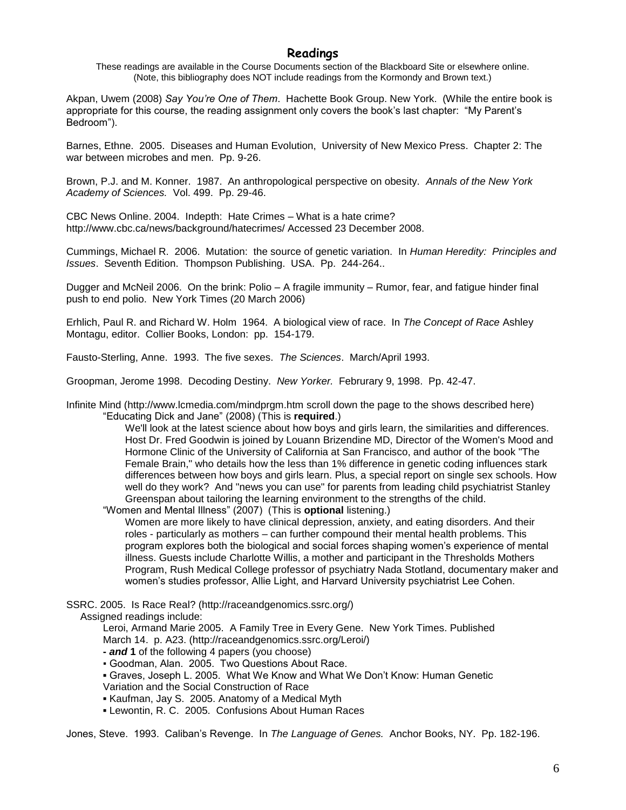### **Readings**

These readings are available in the Course Documents section of the Blackboard Site or elsewhere online. (Note, this bibliography does NOT include readings from the Kormondy and Brown text.)

Akpan, Uwem (2008) *Say You're One of Them*. Hachette Book Group. New York. (While the entire book is appropriate for this course, the reading assignment only covers the book's last chapter: "My Parent's Bedroom").

Barnes, Ethne. 2005. Diseases and Human Evolution, University of New Mexico Press. Chapter 2: The war between microbes and men. Pp. 9-26.

Brown, P.J. and M. Konner. 1987. An anthropological perspective on obesity. *Annals of the New York Academy of Sciences.* Vol. 499. Pp. 29-46.

CBC News Online. 2004. Indepth: Hate Crimes – What is a hate crime? http://www.cbc.ca/news/background/hatecrimes/ Accessed 23 December 2008.

Cummings, Michael R. 2006. Mutation: the source of genetic variation. In *Human Heredity: Principles and Issues*. Seventh Edition. Thompson Publishing. USA. Pp. 244-264..

Dugger and McNeil 2006. On the brink: Polio – A fragile immunity – Rumor, fear, and fatigue hinder final push to end polio. New York Times (20 March 2006)

Erhlich, Paul R. and Richard W. Holm 1964. A biological view of race. In *The Concept of Race* Ashley Montagu, editor. Collier Books, London: pp. 154-179.

Fausto-Sterling, Anne. 1993. The five sexes. *The Sciences*. March/April 1993.

Groopman, Jerome 1998. Decoding Destiny. *New Yorker.* Februrary 9, 1998. Pp. 42-47.

Infinite Mind (http://www.lcmedia.com/mindprgm.htm scroll down the page to the shows described here) ―Educating Dick and Jane‖ (2008) (This is **required**.)

> We'll look at the latest science about how boys and girls learn, the similarities and differences. Host Dr. Fred Goodwin is joined by Louann Brizendine MD, Director of the Women's Mood and Hormone Clinic of the University of California at San Francisco, and author of the book "The Female Brain," who details how the less than 1% difference in genetic coding influences stark differences between how boys and girls learn. Plus, a special report on single sex schools. How well do they work? And "news you can use" for parents from leading child psychiatrist Stanley Greenspan about tailoring the learning environment to the strengths of the child.

―Women and Mental Illness‖ (2007) (This is **optional** listening.)

Women are more likely to have clinical depression, anxiety, and eating disorders. And their roles - particularly as mothers – can further compound their mental health problems. This program explores both the biological and social forces shaping women's experience of mental illness. Guests include Charlotte Willis, a mother and participant in the Thresholds Mothers Program, Rush Medical College professor of psychiatry Nada Stotland, documentary maker and women's studies professor, Allie Light, and Harvard University psychiatrist Lee Cohen.

SSRC. 2005. Is Race Real? (http://raceandgenomics.ssrc.org/)

Assigned readings include:

Leroi, Armand Marie 2005. A Family Tree in Every Gene. New York Times. Published March 14. p. A23. (http://raceandgenomics.ssrc.org/Leroi/)

- **-** *and* **1** of the following 4 papers (you choose)
- Goodman, Alan. 2005. Two Questions About Race.
- Graves, Joseph L. 2005. What We Know and What We Don't Know: Human Genetic
- Variation and the Social Construction of Race
- Kaufman, Jay S. 2005. Anatomy of a Medical Myth
- Lewontin, R. C. 2005. Confusions About Human Races

Jones, Steve. 1993. Caliban's Revenge. In *The Language of Genes.* Anchor Books, NY. Pp. 182-196.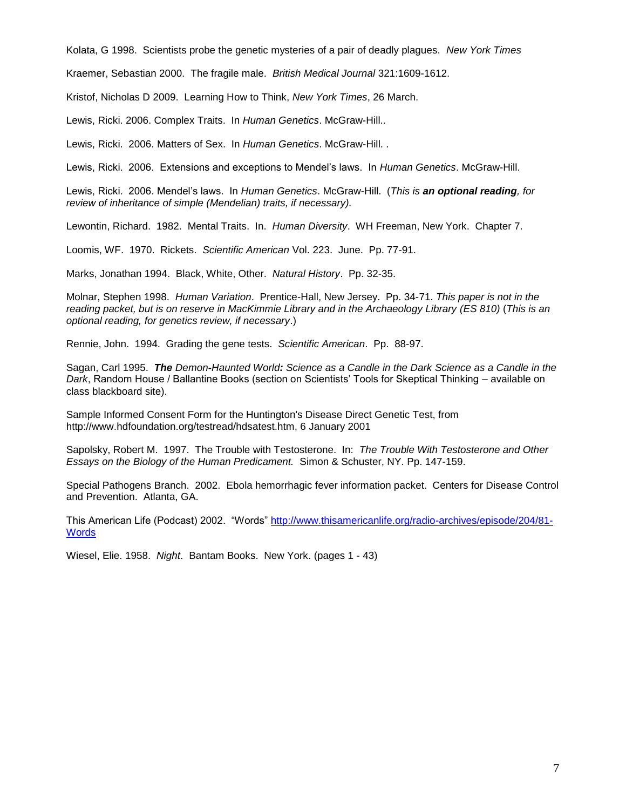Kolata, G 1998. Scientists probe the genetic mysteries of a pair of deadly plagues. *New York Times*

Kraemer, Sebastian 2000. The fragile male. *British Medical Journal* 321:1609-1612.

Kristof, Nicholas D 2009. Learning How to Think, *New York Times*, 26 March.

Lewis, Ricki. 2006. Complex Traits. In *Human Genetics*. McGraw-Hill..

Lewis, Ricki. 2006. Matters of Sex. In *Human Genetics*. McGraw-Hill. .

Lewis, Ricki. 2006. Extensions and exceptions to Mendel's laws. In *Human Genetics*. McGraw-Hill.

Lewis, Ricki. 2006. Mendel's laws. In *Human Genetics*. McGraw-Hill. (*This is an optional reading, for review of inheritance of simple (Mendelian) traits, if necessary).*

Lewontin, Richard. 1982. Mental Traits. In. *Human Diversity*. WH Freeman, New York. Chapter 7.

Loomis, WF. 1970. Rickets. *Scientific American* Vol. 223. June. Pp. 77-91.

Marks, Jonathan 1994. Black, White, Other. *Natural History*. Pp. 32-35.

Molnar, Stephen 1998. *Human Variation*. Prentice-Hall, New Jersey. Pp. 34-71. *This paper is not in the reading packet, but is on reserve in MacKimmie Library and in the Archaeology Library (ES 810)* (*This is an optional reading, for genetics review, if necessary*.)

Rennie, John. 1994. Grading the gene tests. *Scientific American*. Pp. 88-97.

Sagan, Carl 1995. *The Demon-Haunted World: Science as a Candle in the Dark Science as a Candle in the Dark*, Random House / Ballantine Books (section on Scientists' Tools for Skeptical Thinking – available on class blackboard site).

Sample Informed Consent Form for the Huntington's Disease Direct Genetic Test, from http://www.hdfoundation.org/testread/hdsatest.htm, 6 January 2001

Sapolsky, Robert M. 1997. The Trouble with Testosterone. In: *The Trouble With Testosterone and Other Essays on the Biology of the Human Predicament.* Simon & Schuster, NY. Pp. 147-159.

Special Pathogens Branch. 2002. Ebola hemorrhagic fever information packet. Centers for Disease Control and Prevention. Atlanta, GA.

This American Life (Podcast) 2002. "Words" [http://www.thisamericanlife.org/radio-archives/episode/204/81-](http://www.thisamericanlife.org/radio-archives/episode/204/81-Words) **[Words](http://www.thisamericanlife.org/radio-archives/episode/204/81-Words)** 

Wiesel, Elie. 1958. *Night*. Bantam Books. New York. (pages 1 - 43)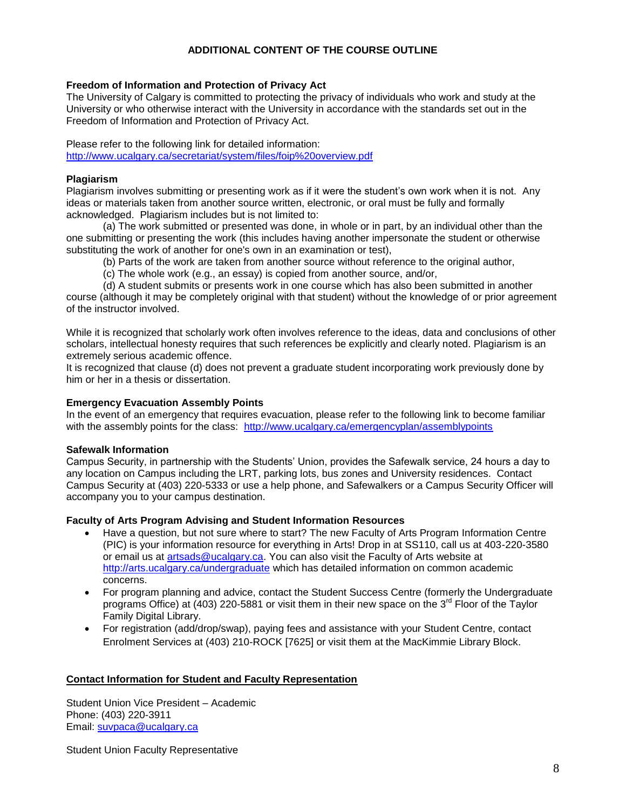#### **ADDITIONAL CONTENT OF THE COURSE OUTLINE**

#### **Freedom of Information and Protection of Privacy Act**

The University of Calgary is committed to protecting the privacy of individuals who work and study at the University or who otherwise interact with the University in accordance with the standards set out in the Freedom of Information and Protection of Privacy Act.

Please refer to the following link for detailed information: <http://www.ucalgary.ca/secretariat/system/files/foip%20overview.pdf>

#### **Plagiarism**

Plagiarism involves submitting or presenting work as if it were the student's own work when it is not. Any ideas or materials taken from another source written, electronic, or oral must be fully and formally acknowledged. Plagiarism includes but is not limited to:

(a) The work submitted or presented was done, in whole or in part, by an individual other than the one submitting or presenting the work (this includes having another impersonate the student or otherwise substituting the work of another for one's own in an examination or test),

(b) Parts of the work are taken from another source without reference to the original author,

(c) The whole work (e.g., an essay) is copied from another source, and/or,

(d) A student submits or presents work in one course which has also been submitted in another course (although it may be completely original with that student) without the knowledge of or prior agreement of the instructor involved.

While it is recognized that scholarly work often involves reference to the ideas, data and conclusions of other scholars, intellectual honesty requires that such references be explicitly and clearly noted. Plagiarism is an extremely serious academic offence.

It is recognized that clause (d) does not prevent a graduate student incorporating work previously done by him or her in a thesis or dissertation.

#### **Emergency Evacuation Assembly Points**

In the event of an emergency that requires evacuation, please refer to the following link to become familiar with the assembly points for the class: <http://www.ucalgary.ca/emergencyplan/assemblypoints>

#### **Safewalk Information**

Campus Security, in partnership with the Students' Union, provides the Safewalk service, 24 hours a day to any location on Campus including the LRT, parking lots, bus zones and University residences. Contact Campus Security at (403) 220-5333 or use a help phone, and Safewalkers or a Campus Security Officer will accompany you to your campus destination.

#### **Faculty of Arts Program Advising and Student Information Resources**

- Have a question, but not sure where to start? The new Faculty of Arts Program Information Centre (PIC) is your information resource for everything in Arts! Drop in at SS110, call us at 403-220-3580 or email us at [artsads@ucalgary.ca.](mailto:artsads@ucalgary.ca) You can also visit the Faculty of Arts website at <http://arts.ucalgary.ca/undergraduate> which has detailed information on common academic concerns.
- For program planning and advice, contact the Student Success Centre (formerly the Undergraduate programs Office) at (403) 220-5881 or visit them in their new space on the 3<sup>rd</sup> Floor of the Taylor Family Digital Library.
- For registration (add/drop/swap), paying fees and assistance with your Student Centre, contact Enrolment Services at (403) 210-ROCK [7625] or visit them at the MacKimmie Library Block.

#### **Contact Information for Student and Faculty Representation**

Student Union Vice President – Academic Phone: (403) 220-3911 Email: [suvpaca@ucalgary.ca](mailto:suvpaca@ucalgary.ca)

Student Union Faculty Representative